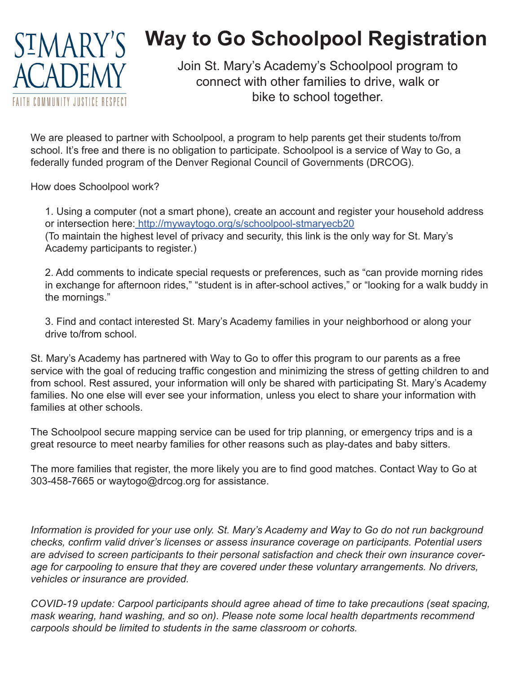

## **Way to Go Schoolpool Registration**

Join St. Mary's Academy's Schoolpool program to connect with other families to drive, walk or bike to school together.

We are pleased to partner with Schoolpool, a program to help parents get their students to/from school. It's free and there is no obligation to participate. Schoolpool is a service of Way to Go, a federally funded program of the Denver Regional Council of Governments (DRCOG).

How does Schoolpool work?

1. Using a computer (not a smart phone), create an account and register your household address or intersection here: http://mywaytogo.org/s/schoolpool-stmaryecb20 (To maintain the highest level of privacy and security, this link is the only way for St. Mary's Academy participants to register.)

2. Add comments to indicate special requests or preferences, such as "can provide morning rides in exchange for afternoon rides," "student is in after-school actives," or "looking for a walk buddy in the mornings."

3. Find and contact interested St. Mary's Academy families in your neighborhood or along your drive to/from school.

St. Mary's Academy has partnered with Way to Go to offer this program to our parents as a free service with the goal of reducing traffic congestion and minimizing the stress of getting children to and from school. Rest assured, your information will only be shared with participating St. Mary's Academy families. No one else will ever see your information, unless you elect to share your information with families at other schools.

The Schoolpool secure mapping service can be used for trip planning, or emergency trips and is a great resource to meet nearby families for other reasons such as play-dates and baby sitters.

The more families that register, the more likely you are to find good matches. Contact Way to Go at 303-458-7665 or waytogo@drcog.org for assistance.

*Information is provided for your use only. St. Mary's Academy and Way to Go do not run background checks, confirm valid driver's licenses or assess insurance coverage on participants. Potential users are advised to screen participants to their personal satisfaction and check their own insurance coverage for carpooling to ensure that they are covered under these voluntary arrangements. No drivers, vehicles or insurance are provided.*

*COVID-19 update: Carpool participants should agree ahead of time to take precautions (seat spacing, mask wearing, hand washing, and so on). Please note some local health departments recommend carpools should be limited to students in the same classroom or cohorts.*